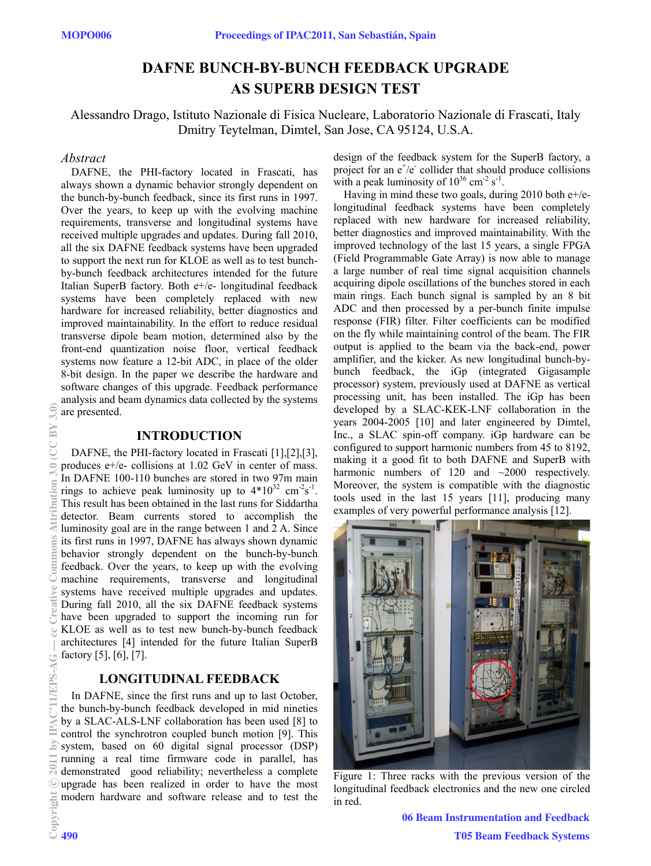# **DAFNE BUNCH-BY-BUNCH FEEDBACK UPGRADE AS SUPERB DESIGN TEST**

Alessandro Drago, Istituto Nazionale di Fisica Nucleare, Laboratorio Nazionale di Frascati, Italy Dmitry Teytelman, Dimtel, San Jose, CA 95124, U.S.A.

## *Abstract*

DAFNE, the PHI-factory located in Frascati, has always shown a dynamic behavior strongly dependent on the bunch-by-bunch feedback, since its first runs in 1997. Over the years, to keep up with the evolving machine requirements, transverse and longitudinal systems have received multiple upgrades and updates. During fall 2010, all the six DAFNE feedback systems have been upgraded to support the next run for KLOE as well as to test bunchby-bunch feedback architectures intended for the future Italian SuperB factory. Both e+/e- longitudinal feedback systems have been completely replaced with new hardware for increased reliability, better diagnostics and improved maintainability. In the effort to reduce residual transverse dipole beam motion, determined also by the front-end quantization noise floor, vertical feedback systems now feature a 12-bit ADC, in place of the older 8-bit design. In the paper we describe the hardware and software changes of this upgrade. Feedback performance analysis and beam dynamics data collected by the systems are presented.

## **INTRODUCTION**

DAFNE, the PHI-factory located in Frascati [1],[2],[3], produces e+/e- collisions at 1.02 GeV in center of mass. In DAFNE 100-110 bunches are stored in two 97m main rings to achieve peak luminosity up to  $4*10^{32}$  cm<sup>-2</sup>s<sup>-1</sup>. This result has been obtained in the last runs for Siddartha detector. Beam currents stored to accomplish the luminosity goal are in the range between 1 and 2 A. Since its first runs in 1997, DAFNE has always shown dynamic behavior strongly dependent on the bunch-by-bunch feedback. Over the years, to keep up with the evolving machine requirements, transverse and longitudinal systems have received multiple upgrades and updates. During fall 2010, all the six DAFNE feedback systems have been upgraded to support the incoming run for KLOE as well as to test new bunch-by-bunch feedback architectures [4] intended for the future Italian SuperB factory [5], [6], [7].

## **LONGITUDINAL FEEDBACK**

In DAFNE, since the first runs and up to last October, the bunch-by-bunch feedback developed in mid nineties by a SLAC-ALS-LNF collaboration has been used [8] to control the synchrotron coupled bunch motion [9]. This system, based on 60 digital signal processor (DSP) running a real time firmware code in parallel, has demonstrated good reliability; nevertheless a complete upgrade has been realized in order to have the most modern hardware and software release and to test the

design of the feedback system for the SuperB factory, a project for an  $e^+/e^-$  collider that should produce collisions with a peak luminosity of  $10^{36}$  cm<sup>-2</sup> s<sup>-1</sup>.

Having in mind these two goals, during 2010 both  $e^{+}/e^{-}$ longitudinal feedback systems have been completely replaced with new hardware for increased reliability, better diagnostics and improved maintainability. With the improved technology of the last 15 years, a single FPGA (Field Programmable Gate Array) is now able to manage a large number of real time signal acquisition channels acquiring dipole oscillations of the bunches stored in each main rings. Each bunch signal is sampled by an 8 bit ADC and then processed by a per-bunch finite impulse response (FIR) filter. Filter coefficients can be modified on the fly while maintaining control of the beam. The FIR output is applied to the beam via the back-end, power amplifier, and the kicker. As new longitudinal bunch-bybunch feedback, the iGp (integrated Gigasample processor) system, previously used at DAFNE as vertical processing unit, has been installed. The iGp has been developed by a SLAC-KEK-LNF collaboration in the years 2004-2005 [10] and later engineered by Dimtel, Inc., a SLAC spin-off company. iGp hardware can be configured to support harmonic numbers from 45 to 8192, making it a good fit to both DAFNE and SuperB with harmonic numbers of 120 and ~2000 respectively. Moreover, the system is compatible with the diagnostic tools used in the last 15 years [11], producing many examples of very powerful performance analysis [12].



Figure 1: Three racks with the previous version of the longitudinal feedback electronics and the new one circled in red.

06 Beam Instrumentation and Feedback T05 Beam Feedback Systems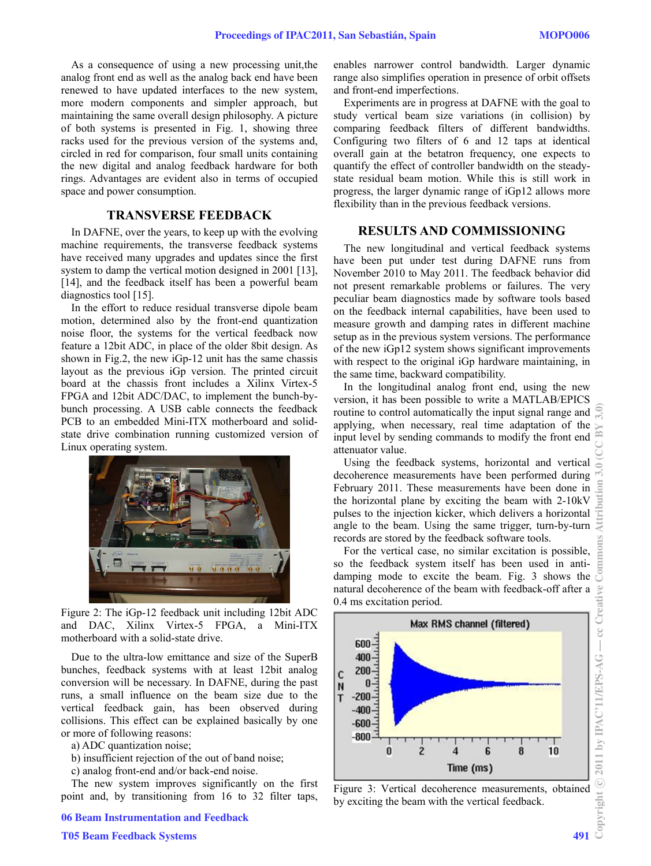As a consequence of using a new processing unit,the analog front end as well as the analog back end have been renewed to have updated interfaces to the new system, more modern components and simpler approach, but maintaining the same overall design philosophy. A picture of both systems is presented in Fig. 1, showing three racks used for the previous version of the systems and, circled in red for comparison, four small units containing the new digital and analog feedback hardware for both rings. Advantages are evident also in terms of occupied space and power consumption.

## **TRANSVERSE FEEDBACK**

In DAFNE, over the years, to keep up with the evolving machine requirements, the transverse feedback systems have received many upgrades and updates since the first system to damp the vertical motion designed in 2001 [13], [14], and the feedback itself has been a powerful beam diagnostics tool [15].

In the effort to reduce residual transverse dipole beam motion, determined also by the front-end quantization noise floor, the systems for the vertical feedback now feature a 12bit ADC, in place of the older 8bit design. As shown in Fig.2, the new iGp-12 unit has the same chassis layout as the previous iGp version. The printed circuit board at the chassis front includes a Xilinx Virtex-5 FPGA and 12bit ADC/DAC, to implement the bunch-bybunch processing. A USB cable connects the feedback PCB to an embedded Mini-ITX motherboard and solidstate drive combination running customized version of Linux operating system.



Figure 2: The iGp-12 feedback unit including 12bit ADC and DAC, Xilinx Virtex-5 FPGA, a Mini-ITX motherboard with a solid-state drive.

Due to the ultra-low emittance and size of the SuperB bunches, feedback systems with at least 12bit analog conversion will be necessary. In DAFNE, during the past runs, a small influence on the beam size due to the vertical feedback gain, has been observed during collisions. This effect can be explained basically by one or more of following reasons:

a) ADC quantization noise;

b) insufficient rejection of the out of band noise;

c) analog front-end and/or back-end noise.

The new system improves significantly on the first point and, by transitioning from 16 to 32 filter taps, enables narrower control bandwidth. Larger dynamic range also simplifies operation in presence of orbit offsets and front-end imperfections.

Experiments are in progress at DAFNE with the goal to study vertical beam size variations (in collision) by comparing feedback filters of different bandwidths. Configuring two filters of 6 and 12 taps at identical overall gain at the betatron frequency, one expects to quantify the effect of controller bandwidth on the steadystate residual beam motion. While this is still work in progress, the larger dynamic range of iGp12 allows more flexibility than in the previous feedback versions.

#### **RESULTS AND COMMISSIONING**

The new longitudinal and vertical feedback systems have been put under test during DAFNE runs from November 2010 to May 2011. The feedback behavior did not present remarkable problems or failures. The very peculiar beam diagnostics made by software tools based on the feedback internal capabilities, have been used to measure growth and damping rates in different machine setup as in the previous system versions. The performance of the new iGp12 system shows significant improvements with respect to the original iGp hardware maintaining, in the same time, backward compatibility.

In the longitudinal analog front end, using the new version, it has been possible to write a MATLAB/EPICS routine to control automatically the input signal range and applying, when necessary, real time adaptation of the input level by sending commands to modify the front end attenuator value.

Using the feedback systems, horizontal and vertical decoherence measurements have been performed during February 2011. These measurements have been done in the horizontal plane by exciting the beam with 2-10kV pulses to the injection kicker, which delivers a horizontal angle to the beam. Using the same trigger, turn-by-turn records are stored by the feedback software tools.

For the vertical case, no similar excitation is possible, so the feedback system itself has been used in antidamping mode to excite the beam. Fig. 3 shows the natural decoherence of the beam with feedback-off after a 0.4 ms excitation period.